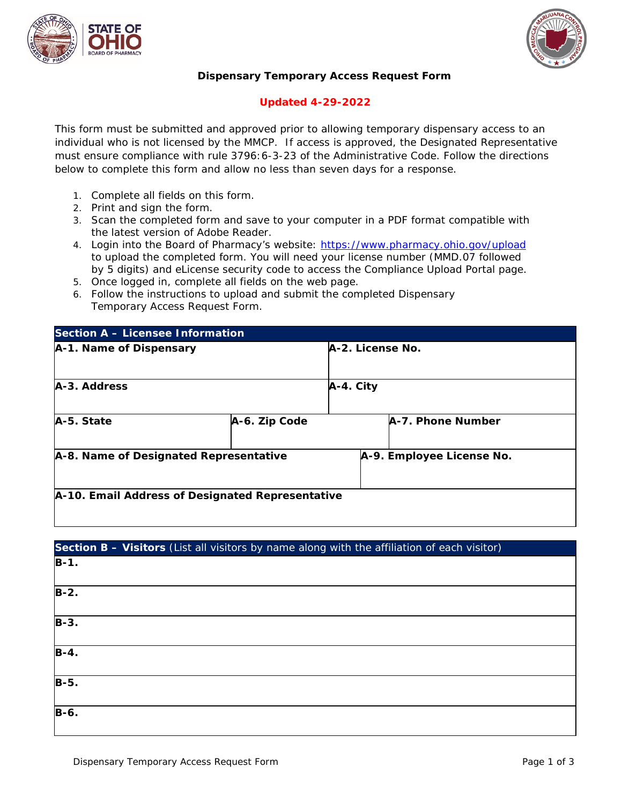



## **Dispensary Temporary Access Request Form**

## **Updated 4-29-2022**

This form must be submitted and approved prior to allowing temporary dispensary access to an individual who is not licensed by the MMCP. If access is approved, the Designated Representative must ensure compliance with rule 3796:6-3-23 of the Administrative Code. Follow the directions below to complete this form and allow no less than seven days for a response.

- 1. Complete all fields on this form.
- 2. Print and sign the form.
- 3. Scan the completed form and save to your computer in a PDF format compatible with the latest version of Adobe Reader.
- 4. Login into the Board of Pharmacy's website: <https://www.pharmacy.ohio.gov/upload> to upload the completed form. You will need your license number (MMD.07 followed by 5 digits) and eLicense security code to access the Compliance Upload Portal page.
- 5. Once logged in, complete all fields on the web page.
- 6. Follow the instructions to upload and submit the completed Dispensary Temporary Access Request Form.

| Section A - Licensee Information                 |               |                  |                           |  |
|--------------------------------------------------|---------------|------------------|---------------------------|--|
| A-1. Name of Dispensary                          |               | A-2. License No. |                           |  |
| A-3. Address                                     |               | A-4. City        |                           |  |
| A-5. State                                       | A-6. Zip Code |                  | A-7. Phone Number         |  |
| A-8. Name of Designated Representative           |               |                  | A-9. Employee License No. |  |
| A-10. Email Address of Designated Representative |               |                  |                           |  |

| Section B - Visitors (List all visitors by name along with the affiliation of each visitor) |  |  |
|---------------------------------------------------------------------------------------------|--|--|
| $B-1.$                                                                                      |  |  |
| $B-2.$                                                                                      |  |  |
| $B-3.$                                                                                      |  |  |
| $B-4.$                                                                                      |  |  |
| $B-5.$                                                                                      |  |  |
| $B-6.$                                                                                      |  |  |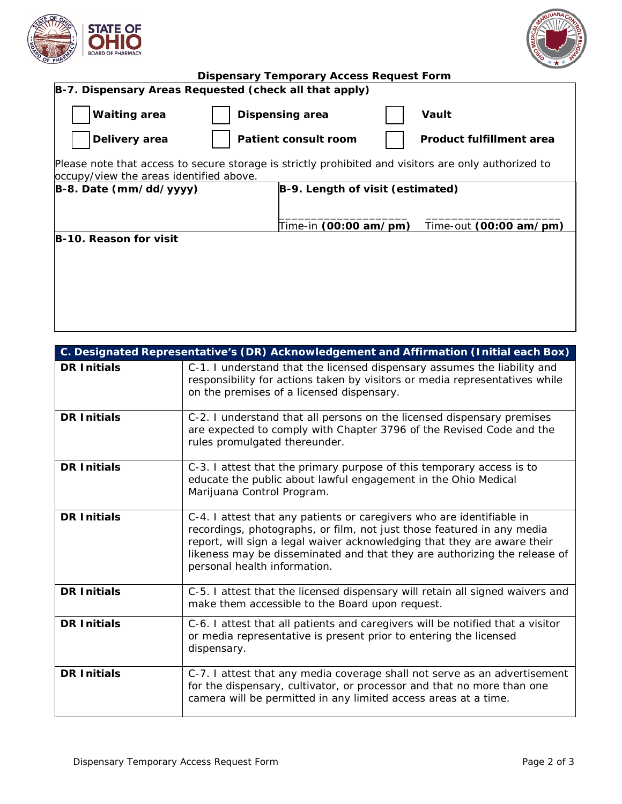



| <b>Dispensary Temporary Access Request Form</b>        |                                                                                                                                                                                                      |  |  |  |
|--------------------------------------------------------|------------------------------------------------------------------------------------------------------------------------------------------------------------------------------------------------------|--|--|--|
| B-7. Dispensary Areas Requested (check all that apply) |                                                                                                                                                                                                      |  |  |  |
| <b>Waiting area</b>                                    | <b>Dispensing area</b><br>Vault                                                                                                                                                                      |  |  |  |
| Delivery area                                          | Patient consult room<br>Product fulfillment area                                                                                                                                                     |  |  |  |
| occupy/view the areas identified above.                | Please note that access to secure storage is strictly prohibited and visitors are only authorized to                                                                                                 |  |  |  |
| B-8. Date (mm/dd/yyyy)                                 | B-9. Length of visit (estimated)<br>Time-in (00:00 am/pm)<br>Time-out (00:00 am/pm)                                                                                                                  |  |  |  |
| B-10. Reason for visit                                 |                                                                                                                                                                                                      |  |  |  |
|                                                        | C. Designated Representative's (DR) Acknowledgement and Affirmation (Initial each Box)                                                                                                               |  |  |  |
| <b>DR Initials</b>                                     | C-1. I understand that the licensed dispensary assumes the liability and<br>responsibility for actions taken by visitors or media representatives while<br>on the premises of a licensed dispensary. |  |  |  |
| <b>DR</b> Initials                                     | C-2 Lunderstand that all nersons on the licensed dispensary premises                                                                                                                                 |  |  |  |

| <b>DR Initials</b> | C-2. I understand that all persons on the licensed dispensary premises<br>are expected to comply with Chapter 3796 of the Revised Code and the<br>rules promulgated thereunder.                                                                                                                                                          |
|--------------------|------------------------------------------------------------------------------------------------------------------------------------------------------------------------------------------------------------------------------------------------------------------------------------------------------------------------------------------|
| <b>DR Initials</b> | C-3. I attest that the primary purpose of this temporary access is to<br>educate the public about lawful engagement in the Ohio Medical<br>Marijuana Control Program.                                                                                                                                                                    |
| <b>DR Initials</b> | C-4. I attest that any patients or caregivers who are identifiable in<br>recordings, photographs, or film, not just those featured in any media<br>report, will sign a legal waiver acknowledging that they are aware their<br>likeness may be disseminated and that they are authorizing the release of<br>personal health information. |
| <b>DR Initials</b> | C-5. I attest that the licensed dispensary will retain all signed waivers and<br>make them accessible to the Board upon request.                                                                                                                                                                                                         |
| <b>DR Initials</b> | C-6. I attest that all patients and caregivers will be notified that a visitor<br>or media representative is present prior to entering the licensed<br>dispensary.                                                                                                                                                                       |
| <b>DR Initials</b> | C-7. I attest that any media coverage shall not serve as an advertisement<br>for the dispensary, cultivator, or processor and that no more than one<br>camera will be permitted in any limited access areas at a time.                                                                                                                   |